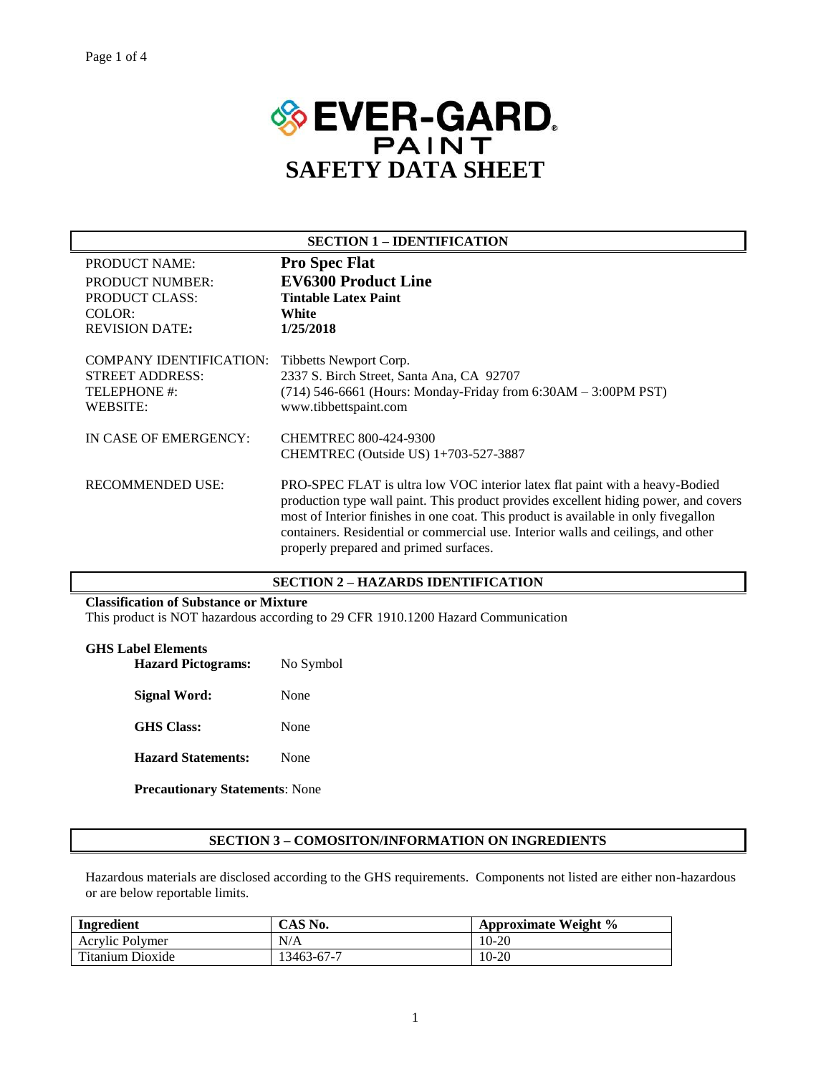

| <b>SECTION 1 – IDENTIFICATION</b>                                                    |                                                                                                                                                                                                                                                                                                                                                                                            |  |  |
|--------------------------------------------------------------------------------------|--------------------------------------------------------------------------------------------------------------------------------------------------------------------------------------------------------------------------------------------------------------------------------------------------------------------------------------------------------------------------------------------|--|--|
| <b>PRODUCT NAME:</b>                                                                 | <b>Pro Spec Flat</b>                                                                                                                                                                                                                                                                                                                                                                       |  |  |
| <b>PRODUCT NUMBER:</b>                                                               | <b>EV6300 Product Line</b>                                                                                                                                                                                                                                                                                                                                                                 |  |  |
| PRODUCT CLASS:                                                                       | <b>Tintable Latex Paint</b>                                                                                                                                                                                                                                                                                                                                                                |  |  |
| COLOR:                                                                               | White                                                                                                                                                                                                                                                                                                                                                                                      |  |  |
| <b>REVISION DATE:</b>                                                                | 1/25/2018                                                                                                                                                                                                                                                                                                                                                                                  |  |  |
| COMPANY IDENTIFICATION:<br><b>STREET ADDRESS:</b><br>TELEPHONE #:<br><b>WEBSITE:</b> | Tibbetts Newport Corp.<br>2337 S. Birch Street, Santa Ana, CA 92707<br>$(714)$ 546-6661 (Hours: Monday-Friday from 6:30AM - 3:00PM PST)<br>www.tibbettspaint.com                                                                                                                                                                                                                           |  |  |
| IN CASE OF EMERGENCY:                                                                | <b>CHEMTREC 800-424-9300</b>                                                                                                                                                                                                                                                                                                                                                               |  |  |
|                                                                                      | CHEMTREC (Outside US) 1+703-527-3887                                                                                                                                                                                                                                                                                                                                                       |  |  |
| <b>RECOMMENDED USE:</b>                                                              | PRO-SPEC FLAT is ultra low VOC interior latex flat paint with a heavy-Bodied<br>production type wall paint. This product provides excellent hiding power, and covers<br>most of Interior finishes in one coat. This product is available in only fivegallon<br>containers. Residential or commercial use. Interior walls and ceilings, and other<br>properly prepared and primed surfaces. |  |  |

## **SECTION 2 – HAZARDS IDENTIFICATION**

### **Classification of Substance or Mixture**

This product is NOT hazardous according to 29 CFR 1910.1200 Hazard Communication

## **GHS Label Elements**

| <b>Hazard Pictograms:</b> | No Symbol |  |
|---------------------------|-----------|--|
| <b>Signal Word:</b>       | None      |  |
| <b>GHS</b> Class:         | None      |  |
| <b>Hazard Statements:</b> | None      |  |
|                           |           |  |

**Precautionary Statements**: None

#### **SECTION 3 – COMOSITON/INFORMATION ON INGREDIENTS**

Hazardous materials are disclosed according to the GHS requirements. Components not listed are either non-hazardous or are below reportable limits.

| Ingredient       | CAS No.    | Approximate Weight % |  |
|------------------|------------|----------------------|--|
| Acrylic Polymer  | N/A        | $10-20$              |  |
| Titanium Dioxide | 13463-67-7 | 10-20                |  |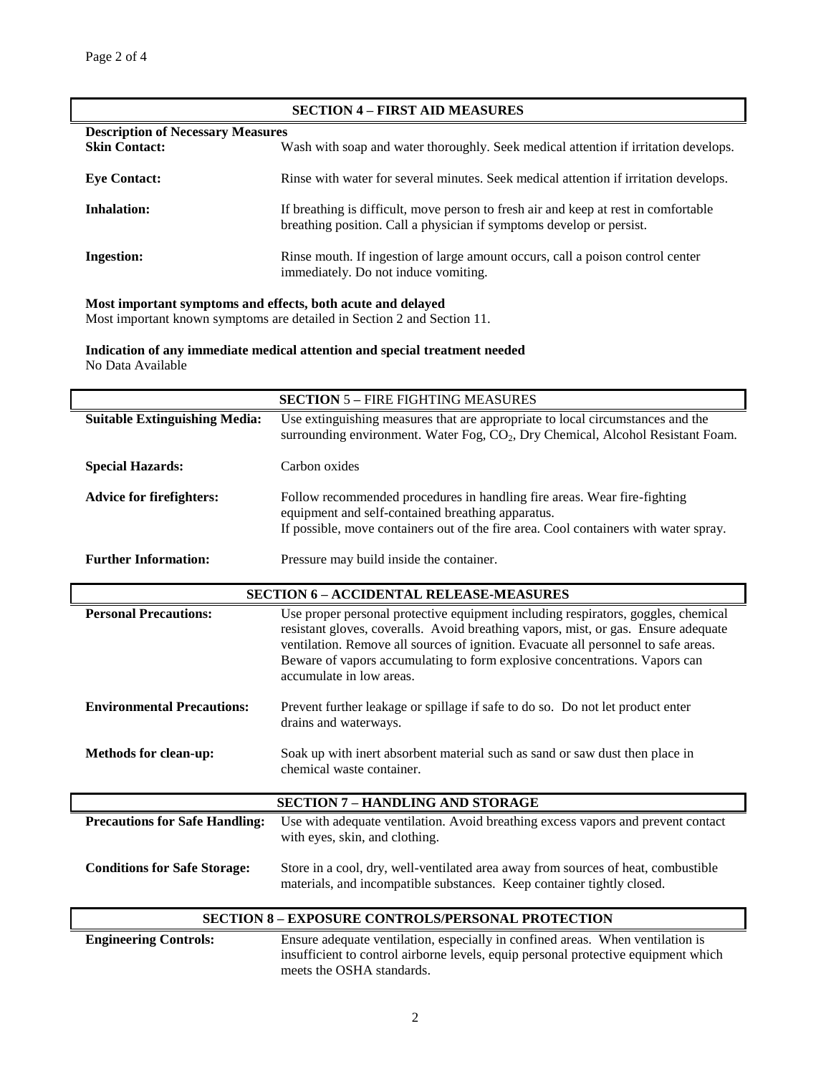| <b>SECTION 4 - FIRST AID MEASURES</b> |                                                                                                                                                             |  |  |  |  |
|---------------------------------------|-------------------------------------------------------------------------------------------------------------------------------------------------------------|--|--|--|--|
|                                       | <b>Description of Necessary Measures</b>                                                                                                                    |  |  |  |  |
| <b>Skin Contact:</b>                  | Wash with soap and water thoroughly. Seek medical attention if irritation develops.                                                                         |  |  |  |  |
| <b>Eye Contact:</b>                   | Rinse with water for several minutes. Seek medical attention if irritation develops.                                                                        |  |  |  |  |
| <b>Inhalation:</b>                    | If breathing is difficult, move person to fresh air and keep at rest in comfortable<br>breathing position. Call a physician if symptoms develop or persist. |  |  |  |  |
| <b>Ingestion:</b>                     | Rinse mouth. If ingestion of large amount occurs, call a poison control center<br>immediately. Do not induce vomiting.                                      |  |  |  |  |

#### **Most important symptoms and effects, both acute and delayed**

Most important known symptoms are detailed in Section 2 and Section 11.

**Indication of any immediate medical attention and special treatment needed** No Data Available

| <b>SECTION 5 - FIRE FIGHTING MEASURES</b> |                                                                                                                                                                                                                                                                                                                                                                         |  |  |  |
|-------------------------------------------|-------------------------------------------------------------------------------------------------------------------------------------------------------------------------------------------------------------------------------------------------------------------------------------------------------------------------------------------------------------------------|--|--|--|
| <b>Suitable Extinguishing Media:</b>      | Use extinguishing measures that are appropriate to local circumstances and the<br>surrounding environment. Water Fog, CO <sub>2</sub> , Dry Chemical, Alcohol Resistant Foam.                                                                                                                                                                                           |  |  |  |
| <b>Special Hazards:</b>                   | Carbon oxides                                                                                                                                                                                                                                                                                                                                                           |  |  |  |
| <b>Advice for firefighters:</b>           | Follow recommended procedures in handling fire areas. Wear fire-fighting<br>equipment and self-contained breathing apparatus.<br>If possible, move containers out of the fire area. Cool containers with water spray.                                                                                                                                                   |  |  |  |
| <b>Further Information:</b>               | Pressure may build inside the container.                                                                                                                                                                                                                                                                                                                                |  |  |  |
|                                           | <b>SECTION 6 - ACCIDENTAL RELEASE-MEASURES</b>                                                                                                                                                                                                                                                                                                                          |  |  |  |
| <b>Personal Precautions:</b>              | Use proper personal protective equipment including respirators, goggles, chemical<br>resistant gloves, coveralls. Avoid breathing vapors, mist, or gas. Ensure adequate<br>ventilation. Remove all sources of ignition. Evacuate all personnel to safe areas.<br>Beware of vapors accumulating to form explosive concentrations. Vapors can<br>accumulate in low areas. |  |  |  |
| <b>Environmental Precautions:</b>         | Prevent further leakage or spillage if safe to do so. Do not let product enter<br>drains and waterways.                                                                                                                                                                                                                                                                 |  |  |  |
| <b>Methods for clean-up:</b>              | Soak up with inert absorbent material such as sand or saw dust then place in<br>chemical waste container.                                                                                                                                                                                                                                                               |  |  |  |
|                                           | <b>SECTION 7 - HANDLING AND STORAGE</b>                                                                                                                                                                                                                                                                                                                                 |  |  |  |
| <b>Precautions for Safe Handling:</b>     | Use with adequate ventilation. Avoid breathing excess vapors and prevent contact<br>with eyes, skin, and clothing.                                                                                                                                                                                                                                                      |  |  |  |
| <b>Conditions for Safe Storage:</b>       | Store in a cool, dry, well-ventilated area away from sources of heat, combustible<br>materials, and incompatible substances. Keep container tightly closed.                                                                                                                                                                                                             |  |  |  |
|                                           | <b>SECTION 8 - EXPOSURE CONTROLS/PERSONAL PROTECTION</b>                                                                                                                                                                                                                                                                                                                |  |  |  |
| <b>Engineering Controls:</b>              | Ensure adequate ventilation, especially in confined areas. When ventilation is<br>insufficient to control airborne levels, equip personal protective equipment which<br>meets the OSHA standards.                                                                                                                                                                       |  |  |  |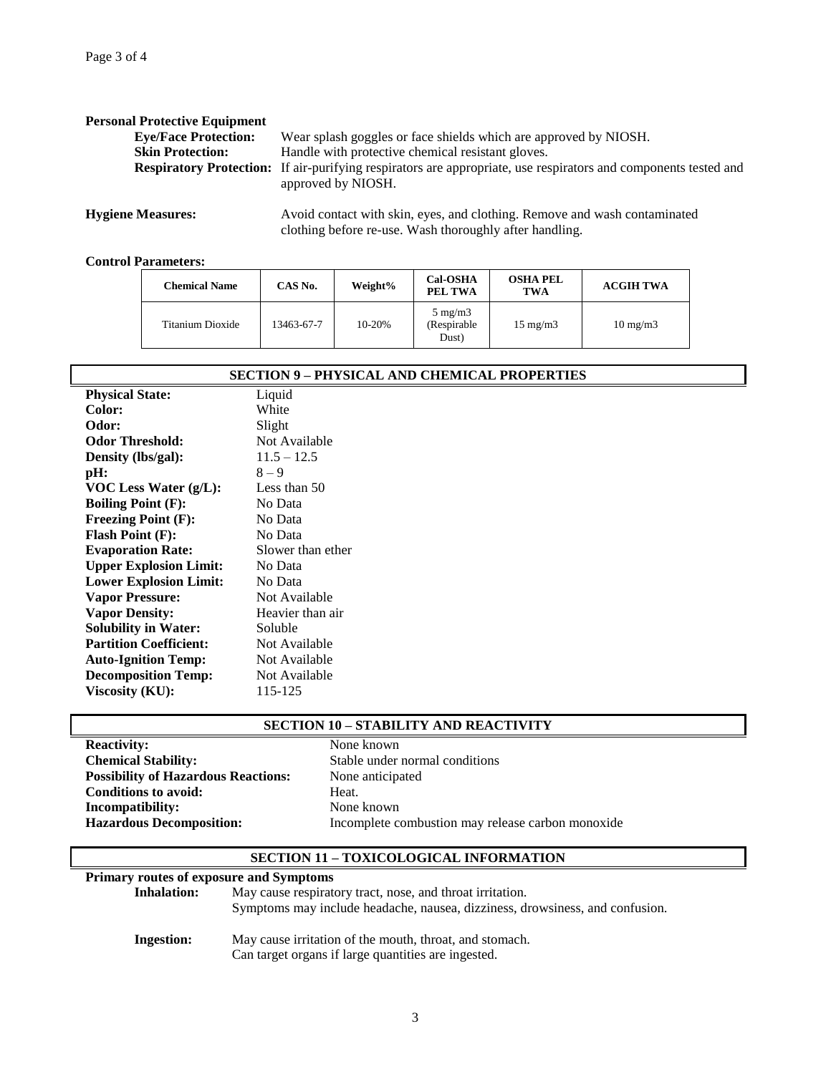| <b>Personal Protective Equipment</b>                                                                                                                                                                                                                                                                                               |                                                                                                                                                                                                                                    |
|------------------------------------------------------------------------------------------------------------------------------------------------------------------------------------------------------------------------------------------------------------------------------------------------------------------------------------|------------------------------------------------------------------------------------------------------------------------------------------------------------------------------------------------------------------------------------|
| <b>Eye/Face Protection:</b>                                                                                                                                                                                                                                                                                                        | Wear splash goggles or face shields which are approved by NIOSH.                                                                                                                                                                   |
| <b>Skin Protection:</b>                                                                                                                                                                                                                                                                                                            | Handle with protective chemical resistant gloves.                                                                                                                                                                                  |
|                                                                                                                                                                                                                                                                                                                                    | <b>Respiratory Protection:</b> If air-purifying respirators are appropriate, use respirators and components tested and<br>approved by NIOSH.                                                                                       |
| $\mathbf{r}$ $\mathbf{r}$ $\mathbf{r}$ $\mathbf{r}$ $\mathbf{r}$ $\mathbf{r}$ $\mathbf{r}$ $\mathbf{r}$ $\mathbf{r}$ $\mathbf{r}$ $\mathbf{r}$ $\mathbf{r}$ $\mathbf{r}$ $\mathbf{r}$ $\mathbf{r}$ $\mathbf{r}$ $\mathbf{r}$ $\mathbf{r}$ $\mathbf{r}$ $\mathbf{r}$ $\mathbf{r}$ $\mathbf{r}$ $\mathbf{r}$ $\mathbf{r}$ $\mathbf{$ | $\lambda$ . The set of the set of the set of the set of the set of the set of the set of the set of the set of the set of the set of the set of the set of the set of the set of the set of the set of the set of the set of the s |

**Hygiene Measures:** Avoid contact with skin, eyes, and clothing. Remove and wash contaminated clothing before re-use. Wash thoroughly after handling.

## **Control Parameters:**

| <b>Chemical Name</b> | CAS No.    | Weight% | <b>Cal-OSHA</b><br>PEL TWA               | <b>OSHA PEL</b><br><b>TWA</b> | <b>ACGIH TWA</b>  |
|----------------------|------------|---------|------------------------------------------|-------------------------------|-------------------|
| Titanium Dioxide     | 13463-67-7 | 10-20%  | $5 \text{ mg/m}$<br>(Respirable<br>Dust) | $15 \text{ mg/m}$             | $10 \text{ mg/m}$ |

# **SECTION 9 – PHYSICAL AND CHEMICAL PROPERTIES**

| <b>Physical State:</b>        | Liquid            |
|-------------------------------|-------------------|
| Color:                        | White             |
| Odor:                         | Slight            |
| <b>Odor Threshold:</b>        | Not Available     |
| Density (lbs/gal):            | $11.5 - 12.5$     |
| pH:                           | $8 - 9$           |
| VOC Less Water (g/L):         | Less than $50$    |
| <b>Boiling Point (F):</b>     | No Data           |
| <b>Freezing Point (F):</b>    | No Data           |
| <b>Flash Point (F):</b>       | No Data           |
| <b>Evaporation Rate:</b>      | Slower than ether |
| <b>Upper Explosion Limit:</b> | No Data           |
| <b>Lower Explosion Limit:</b> | No Data           |
| <b>Vapor Pressure:</b>        | Not Available     |
| <b>Vapor Density:</b>         | Heavier than air  |
| <b>Solubility in Water:</b>   | Soluble           |
| <b>Partition Coefficient:</b> | Not Available     |
| <b>Auto-Ignition Temp:</b>    | Not Available     |
| <b>Decomposition Temp:</b>    | Not Available     |
| Viscosity (KU):               | 115-125           |

### **SECTION 10 – STABILITY AND REACTIVITY**

| <b>Reactivity:</b>                         |
|--------------------------------------------|
| <b>Chemical Stability:</b>                 |
| <b>Possibility of Hazardous Reactions:</b> |
| <b>Conditions to avoid:</b>                |
| <b>Incompatibility:</b>                    |
| <b>Hazardous Decomposition:</b>            |

**Reactivity:** None known Stable under normal conditions **None anticipated** Heat. **None known Hazardous Decomposition:** Incomplete combustion may release carbon monoxide

## **SECTION 11 – TOXICOLOGICAL INFORMATION**

## **Primary routes of exposure and Symptoms**

| Inhalation: | May cause respiratory tract, nose, and throat irritation.<br>Symptoms may include headache, nausea, dizziness, drowsiness, and confusion. |  |  |  |
|-------------|-------------------------------------------------------------------------------------------------------------------------------------------|--|--|--|
| Ingestion:  | May cause irritation of the mouth, throat, and stomach.<br>Can target organs if large quantities are ingested.                            |  |  |  |